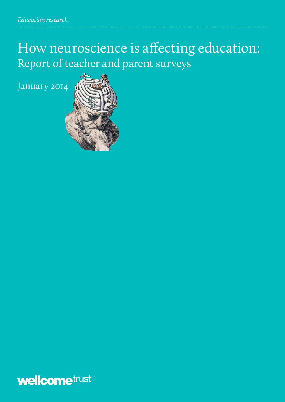# How neuroscience is affecting education: Report of teacher and parent surveys

January 2014



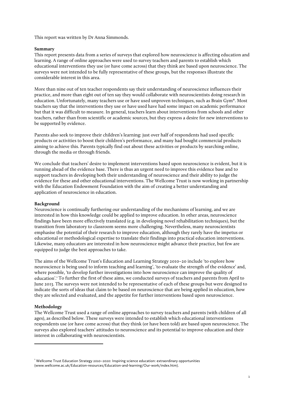This report was written by Dr Anna Simmonds.

# **Summary**

This report presents data from a series of surveys that explored how neuroscience is affecting education and learning. A range of online approaches were used to survey teachers and parents to establish which educational interventions they use (or have come across) that they think are based upon neuroscience. The surveys were not intended to be fully representative of these groups, but the responses illustrate the considerable interest in this area.

More than nine out of ten teacher respondents say their understanding of neuroscience influences their practice, and more than eight out of ten say they would collaborate with neuroscientists doing research in education. Unfortunately, many teachers use or have used unproven techniques, such as Brain Gym**®**. Most teachers say that the interventions they use or have used have had some impact on academic performance but that it was difficult to measure. In general, teachers learn about interventions from schools and other teachers, rather than from scientific or academic sources, but they express a desire for new interventions to be supported by evidence.

Parents also seek to improve their children's learning: just over half of respondents had used specific products or activities to boost their children's performance, and many had bought commercial products aiming to achieve this. Parents typically find out about these activities or products by searching online, through the media or through friends.

We conclude that teachers' desire to implement interventions based upon neuroscience is evident, but it is running ahead of the evidence base. There is thus an urgent need to improve this evidence base and to support teachers in developing both their understanding of neuroscience and their ability to judge the evidence for these and other educational interventions. The Wellcome Trust is now working in partnership with the Education Endowment Foundation with the aim of creating a better understanding and application of neuroscience in education.

## **Background**

Neuroscience is continually furthering our understanding of the mechanisms of learning, and we are interested in how this knowledge could be applied to improve education. In other areas, neuroscience findings have been more effectively translated (e.g. in developing novel rehabilitation techniques), but the transition from laboratory to classroom seems more challenging. Nevertheless, many neuroscientists emphasise the potential of their research to improve education, although they rarely have the impetus or educational or methodological expertise to translate their findings into practical education interventions. Likewise, many educators are interested in how neuroscience might advance their practice, but few are equipped to judge the best approaches to take.

The aims of the Wellcome Trust's Education and Learning Strategy 2010–20 include 'to explore how neuroscience is being used to inform teaching and learning', 'to evaluate the strength of the evidence' and, where possible, 'to develop further investigations into how neuroscience can improve the quality of education'. <sup>1</sup> To further the first of these aims, we conducted surveys of teachers and parents from April to June 2013. The surveys were not intended to be representative of each of these groups but were designed to indicate the sorts of ideas that claim to be based on neuroscience that are being applied in education, how they are selected and evaluated, and the appetite for further interventions based upon neuroscience.

# **Methodology**

<u> 1989 - Johann Barn, mars ann an t-Amhain Aonaich ann an t-Aonaich ann an t-Aonaich ann an t-Aonaich ann an t-</u>

The Wellcome Trust used a range of online approaches to survey teachers and parents (with children of all ages), as described below. These surveys were intended to establish which educational interventions respondents use (or have come across) that they think (or have been told) are based upon neuroscience. The surveys also explored teachers' attitudes to neuroscience and its potential to improve education and their interest in collaborating with neuroscientists.

<sup>&</sup>lt;sup>1</sup> Wellcome Trust Education Strategy 2010–2020: Inspiring science education: extraordinary opportunities (www.wellcome.ac.uk/Education-resources/Education-and-learning/Our-work/index.htm).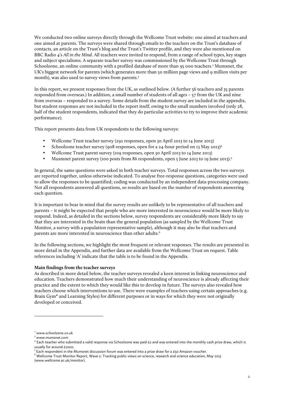We conducted two online surveys directly through the Wellcome Trust website: one aimed at teachers and one aimed at parents. The surveys were shared through emails to the teachers on the Trust's database of contacts, an article on the Trust's blog and the Trust's Twitter profile, and they were also mentioned on BBC Radio 4's *All in the Mind*. All teachers were invited to respond, from a range of school types, key stages and subject specialisms. A separate teacher survey was commissioned by the Wellcome Trust through Schoolzone, an online community with a profiled database of more than 95 000 teachers.<sup>2</sup> Mumsnet, the UK's biggest network for parents (which generates more than 50 million page views and 9 million visits per month), was also used to survey views from parents.<sup>3</sup>

In this report, we present responses from the UK, as outlined below. (A further 56 teachers and 35 parents responded from overseas.) In addition, a small number of students of all ages – 57 from the UK and nine from overseas – responded to a survey. Some details from the student survey are included in the appendix, but student responses are not included in the report itself, owing to the small numbers involved (only 28, half of the student respondents, indicated that they do particular activities to try to improve their academic performance).

This report presents data from UK respondents to the following surveys:

- Wellcome Trust teacher survey (292 responses, open 30 April 2013 to 14 June 2013)
- Schoolzone teacher survey (908 responses, open for a 24-hour period on 13 May 2013)<sup>4</sup>
- Wellcome Trust parent survey (109 responses, open 30 April 2013 to 14 June 2013)
- Musmnet parent survey (100 posts from 86 respondents, open 5 June 2013 to 19 June 2013).<sup>5</sup>

In general, the same questions were asked in both teacher surveys. Total responses across the two surveys are reported together, unless otherwise indicated. To analyse free-response questions, categories were used to allow the responses to be quantified; coding was conducted by an independent data-processing company. Not all respondents answered all questions, so results are based on the number of respondents answering each question.

It is important to bear in mind that the survey results are unlikely to be representative of all teachers and parents – it might be expected that people who are more interested in neuroscience would be more likely to respond. Indeed, as detailed in the sections below, survey respondents are considerably more likely to say that they are interested in the brain than the general population (as sampled by the Wellcome Trust Monitor, a survey with a population representative sample), although it may also be that teachers and parents are more interested in neuroscience than other adults.<sup>6</sup>

In the following sections, we highlight the most frequent or relevant responses. The results are presented in more detail in the Appendix, and further data are available from the Wellcome Trust on request. Table references including 'A' indicate that the table is to be found in the Appendix.

# **Main findings from the teacher surveys**

<u> 1989 - Jan Samuel Barbara, político establecido de la provincia de la provincia de la provincia de la provinci</u>

As described in more detail below, the teacher surveys revealed a keen interest in linking neuroscience and education. Teachers demonstrated how much their understanding of neuroscience is already affecting their practice and the extent to which they would like this to develop in future. The surveys also revealed how teachers choose which interventions to use. There were examples of teachers using certain approaches (e.g. Brain Gym**®** and Learning Styles) for different purposes or in ways for which they were not originally developed or conceived.

<sup>2</sup> www.schoolzone.co.uk

 $3$  www.mumsnet.com

 $^4$  Each teacher who submitted a valid response via Schoolzone was paid £2 and was entered into the monthly cash prize draw, which is usually for around  $E1000$ .

 $^5$  Each respondent in the Mumsnet discussion forum was entered into a prize draw for a £50 Amazon voucher.

 $^6$  Wellcome Trust Monitor Report, Wave 2: Tracking public views on science, research and science education, May 2013 (www.wellcome.ac.uk/monitor).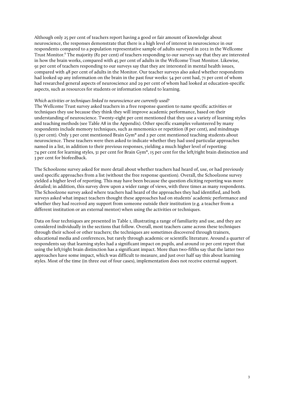Although only 25 per cent of teachers report having a good or fair amount of knowledge about neuroscience, the responses demonstrate that there is a high level of interest in neuroscience in our respondents compared to a population representative sample of adults surveyed in 2012 in the Wellcome Trust Monitor. <sup>6</sup> The majority (82 per cent) of teachers responding to our surveys say that they are interested in how the brain works, compared with 45 per cent of adults in the Wellcome Trust Monitor. Likewise, 91 per cent of teachers responding to our surveys say that they are interested in mental health issues, compared with 48 per cent of adults in the Monitor. Our teacher surveys also asked whether respondents had looked up any information on the brain in the past four weeks: 54 per cent had, 71 per cent of whom had researched general aspects of neuroscience and 29 per cent of whom had looked at education-specific aspects, such as resources for students or information related to learning.

## *Which activities or techniques linked to neuroscience are currently used?*

The Wellcome Trust survey asked teachers in a free response question to name specific activities or techniques they use because they think they will improve academic performance, based on their understanding of neuroscience. Twenty-eight per cent mentioned that they use a variety of learning styles and teaching methods (see Table A8 in the Appendix). Other specific examples volunteered by many respondents include memory techniques, such as mnemonics or repetition (8 per cent), and mindmaps (5 per cent). Only 3 per cent mentioned Brain Gym**®** and 2 per cent mentioned teaching students about neuroscience. These teachers were then asked to indicate whether they had used particular approaches named in a list, in addition to their previous responses, yielding a much higher level of reporting: 74 per cent for learning styles, 31 per cent for Brain Gym**®**, 15 per cent for the left/right brain distinction and 3 per cent for biofeedback.

The Schoolzone survey asked for more detail about whether teachers had heard of, use, or had previously used specific approaches from a list (without the free response question). Overall, the Schoolzone survey yielded a higher level of reporting. This may have been because the question eliciting reporting was more detailed; in addition, this survey drew upon a wider range of views, with three times as many respondents. The Schoolzone survey asked where teachers had heard of the approaches they had identified, and both surveys asked what impact teachers thought these approaches had on students' academic performance and whether they had received any support from someone outside their institution (e.g. a teacher from a different institution or an external mentor) when using the activities or techniques.

Data on four techniques are presented in Table 1, illustrating a range of familiarity and use, and they are considered individually in the sections that follow. Overall, most teachers came across these techniques through their school or other teachers; the techniques are sometimes discovered through trainers, educational media and conferences, but rarely through academic or scientific literature. Around a quarter of respondents say that learning styles had a significant impact on pupils, and around 10 per cent report that using the left/right brain distinction has a significant impact. More than two-fifths say that the latter two approaches have some impact, which was difficult to measure, and just over half say this about learning styles. Most of the time (in three out of four cases), implementation does not receive external support.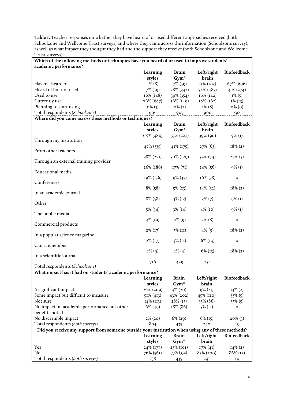**Table 1.** Teacher responses on whether they have heard of or used different approaches received (both Schoolzone and Wellcome Trust surveys) and where they came across the information (Schoolzone survey), as well as what impact they thought they had and the support they receive (both Schoolzone and Wellcome Trust surveys).

| Which of the following methods or techniques have you heard of or used to improve students'        |                  |              |              |                    |  |
|----------------------------------------------------------------------------------------------------|------------------|--------------|--------------|--------------------|--|
| academic performance?                                                                              |                  |              |              |                    |  |
|                                                                                                    | Learning         | Brain        | Left/right   | Biofeedback        |  |
|                                                                                                    | styles           | $Gym^*$      | brain        |                    |  |
| Haven't heard of                                                                                   | $I\%$ (8)        | $7\%$ (59)   | $II\% (103)$ | 67% (606)          |  |
| Heard of but not used                                                                              | $7\%$ (59)       | 38% (342)    | 54% (485)    | $31\% (274)$       |  |
| Used to use                                                                                        | $16\%$ ( $148$ ) | 39% (354)    | $16\%$ (142) | $I\%$ (5)          |  |
| Currently use                                                                                      | 76% (687)        | $16\%$ (149) | $18\%$ (162) | $I\%$ (13)         |  |
| Planning to start using                                                                            | $0\%$ (3)        | $0\% (2)$    | $I\%$ (8)    | $0\%$ (0)          |  |
| Total respondents (Schoolzone)                                                                     | 906              | 905          | 900          | 898                |  |
| Where did you come across these methods or techniques?                                             |                  |              |              |                    |  |
|                                                                                                    | Learning         | <b>Brain</b> | Left/right   | <b>Biofeedback</b> |  |
|                                                                                                    | styles           | $Gym^*$      | brain        |                    |  |
|                                                                                                    | $68\%$ (484)     | $53\%$ (227) | 39% (90)     | $9\%$ (1)          |  |
| Through my institution                                                                             |                  |              |              |                    |  |
| From other teachers                                                                                | 47% (335)        | $41\%$ (175) | $27\%$ (63)  | $18\% (2)$         |  |
|                                                                                                    |                  | 30% (129)    |              | $27\%$ (3)         |  |
| Through an external training provider                                                              | 38% (271)        |              | $32\% (74)$  |                    |  |
|                                                                                                    | 26% (186)        | $17\% (71)$  | 24% (56)     | $9\%$ (1)          |  |
| Educational media                                                                                  |                  |              |              |                    |  |
|                                                                                                    | 19% (136)        | 9% (37)      | 16% (38)     | $\mathbf O$        |  |
| Conferences                                                                                        |                  |              |              |                    |  |
|                                                                                                    | $8\%$ (58)       | $5\%$ (23)   | 14% (32)     | $18\% (2)$         |  |
| In an academic journal                                                                             |                  |              |              |                    |  |
| Other                                                                                              | $8\%$ (58)       | $3\%$ (13)   | $3\%$ $(7)$  | $9\%$ (1)          |  |
|                                                                                                    |                  |              |              |                    |  |
| The public media                                                                                   | $5\%$ (34)       | $3\%$ (14)   | $4\%$ (10)   | $9\%$ (1)          |  |
|                                                                                                    | $3\%$ (19)       | $2\%$ (9)    | $3\%$ (8)    | $\mathbf{o}$       |  |
| Commercial products                                                                                |                  |              |              |                    |  |
|                                                                                                    | $2\%$ (17)       | $3\%$ (II)   | $4\%$ (9)    | $18\%$ (2)         |  |
| In a popular science magazine                                                                      |                  |              |              |                    |  |
|                                                                                                    | $2\%$ (17)       | $3\%$ (II)   | $6\%$ (14)   | o                  |  |
| Can't remember                                                                                     |                  |              |              |                    |  |
| In a scientific journal                                                                            | $I\%$ (9)        | $I\% (4)$    | $6\%$ (13)   | $18\% (2)$         |  |
|                                                                                                    | 716              |              |              |                    |  |
| Total respondents (Schoolzone)                                                                     |                  | 429          | 234          | II                 |  |
| What impact has it had on students' academic performance?                                          |                  |              |              |                    |  |
|                                                                                                    | Learning         | <b>Brain</b> | Left/right   | Biofeedback        |  |
|                                                                                                    | styles           | $Gym^*$      | brain        |                    |  |
| A significant impact                                                                               | 26% (209)        | $4\%$ (20)   | $9\% (21)$   | $13\% (2)$         |  |
| Some impact but difficult to measure                                                               | $51\%$ (413)     | 43% (202)    | 45% (IIO)    | $33\%$ (5)         |  |
| Not sure                                                                                           | $14\%$ (113)     | $28\%$ (13)  | 35% (86)     | $33\%$ (5)         |  |
| No impact on academic performance but other                                                        | $6\%$ (49)       | 18% (86)     | $5\%$ (II)   | o                  |  |
| benefits noted                                                                                     |                  |              |              |                    |  |
| No discernible impact                                                                              | $2\%$ $(20)$     | $6\%$ (29)   | $6\%$ (15)   | $20\%$ (3)         |  |
| Total respondents (both surveys)                                                                   | 804              | 435          | 240          | <sup>15</sup>      |  |
| Did you receive any support from someone outside your institution when using any of these methods? |                  |              |              |                    |  |
|                                                                                                    | Learning         | <b>Brain</b> | Left/right   | <b>Biofeedback</b> |  |
|                                                                                                    | styles           | $Gym^*$      | brain        |                    |  |
| Yes                                                                                                | $24\%$ (177)     | 23% (101)    | $17\% (41)$  | $I4\% (2)$         |  |
| No                                                                                                 | 76% (561)        | 77% (334)    | 83% (200)    | $86\%$ (12)        |  |
| Total respondents (both surveys)                                                                   | 738              | 435          | 24I          | 14                 |  |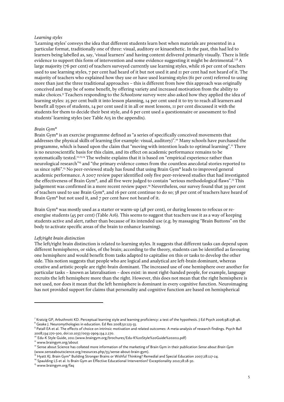## *Learning styles*

'Learning styles' conveys the idea that different students learn best when materials are presented in a particular format, traditionally one of three: visual, auditory or kinaesthetic. In the past, this had led to learners being labelled as, say, 'visual learners' and having content delivered primarily visually. There is little evidence to support this form of intervention and some evidence suggesting it might be detrimental.<sup>7,8</sup> A large majority (76 per cent) of teachers surveyed currently use learning styles, while 16 per cent of teachers used to use learning styles, 7 per cent had heard of it but not used it and 11 per cent had not heard of it. The majority of teachers who explained how they use or have used learning styles (61 per cent) referred to using more than just the three traditional approaches – this is different from how this approach was originally conceived and may be of some benefit, by offering variety and increased motivation from the ability to make choices. <sup>9</sup> Teachers responding to the *Schoolzone* survey were also asked how they applied the idea of learning styles: 25 per cent built it into lesson planning, 14 per cent used it to try to reach all learners and benefit all types of students, 14 per cent used it in all or most lessons, 11 per cent discussed it with the students for them to decide their best style, and 6 per cent used a questionnaire or assessment to find students' learning styles (see Table A15 in the appendix).

#### *Brain Gym***®**

Brain Gym**®** is an exercise programme defined as "a series of specifically conceived movements that addresses the physical skills of learning (for example: visual, auditory)". <sup>10</sup> Many schools have purchased the programme, which is based upon the claim that "moving with intention leads to optimal learning".<sup>11</sup> There is no neuroscientific basis for this claim, and its effect on academic performance remains to be systematically tested.<sup>12,13,14</sup> The website explains that it is based on "empirical experience rather than neurological research"15 and "the primary evidence comes from the countless anecdotal stories reported to us since 1986". <sup>15</sup> No peer-reviewed study has found that using Brain Gym**®** leads to improved general academic performance. A 2007 review paper identified only five peer-reviewed studies that had investigated the effectiveness of Brain Gym**®**, and all five were judged to contain "serious methodological flaws". <sup>13</sup> This judgement was confirmed in a more recent review paper. <sup>14</sup> Nevertheless, our survey found that 39 per cent of teachers used to use Brain Gym**®**, and 16 per cent continue to do so; 38 per cent of teachers have heard of Brain Gym**®** but not used it, and 7 per cent have not heard of it.

Brain Gym**®** was mostly used as a starter or warm-up (48 per cent), or during lessons to refocus or reenergise students (45 per cent) (Table A16). This seems to suggest that teachers use it as a way of keeping students active and alert, rather than because of its intended use (e.g. by massaging "Brain Buttons" on the body to activate specific areas of the brain to enhance learning).

#### *Left/right brain distinction*

The left/right brain distinction is related to learning styles. It suggests that different tasks can depend upon different hemispheres, or sides, of the brain; according to the theory, students can be identified as favouring one hemisphere and would benefit from tasks adapted to capitalise on this or tasks to develop the other side. This notion suggests that people who are logical and analytical are left-brain dominant, whereas creative and artistic people are right-brain dominant. The increased use of one hemisphere over another for particular tasks – known as lateralisation – does exist: in most right-handed people, for example, language recruits the left hemisphere more than the right. However, this does not mean that the right hemisphere is not used, nor does it mean that the left hemisphere is dominant in every cognitive function. Neuroimaging has not provided support for claims that personality and cognitive function are based on hemispherical

<u> 1989 - Jan Samuel Barbara, político establecido de la provincia de la provincia de la provincia de la provinci</u>

<sup>7</sup> Kratzig GP, Arbuthnott KD. Perceptual learning style and learning proficiency: a test of the hypothesis. J Ed Psych 2006;98:238-46.  $8$  Geake J. Neuromythologies in education. Ed Res 2008;50:123-33.

<sup>9</sup> Patall EA et al. The effects of choice on intrinsic motivation and related outcomes: A meta-analysis of research findings. Psych Bull 2008;134:270-300, doi:10.1037/0033-2909.134.2.270.

<sup>10</sup> Edu-K Style Guide, 2011 (www.braingym.org/brochures/Edu-K%20Style%20Guide%202011.pdf)

<sup>&</sup>lt;sup>11</sup> www.braingym.org/about

<sup>&</sup>lt;sup>12</sup> Sense about Science has collated more information of the marketing of Brain Gym in their publication Sense about Brain Gym (www.senseaboutscience.org/resources.php/55/sense-about-brain-gym).<br><sup>13</sup> Hyatt KJ. Brain Gym® Building Stronger Brains or Wishful Thinking? Remedial and Special Education 2007;28:117-24.

<sup>14</sup> Spaulding LS et al. Is Brain Gym an Effective Educational Intervention? Exceptionality 2010;18:18-30.

<sup>&</sup>lt;sup>15</sup> www.braingym.org/faq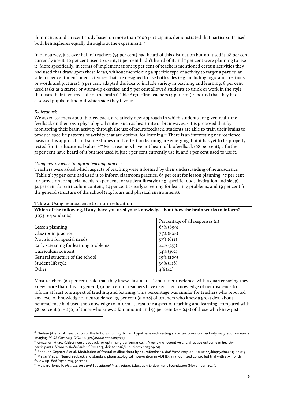dominance, and a recent study based on more than 1000 participants demonstrated that participants used both hemispheres equally throughout the experiment. $^{16}$ 

In our survey, just over half of teachers (54 per cent) had heard of this distinction but not used it, 18 per cent currently use it, 16 per cent used to use it, 11 per cent hadn't heard of it and 1 per cent were planning to use it. More specifically, in terms of implementation: 15 per cent of teachers mentioned certain activities they had used that draw upon these ideas, without mentioning a specific type of activity to target a particular side; 11 per cent mentioned activities that are designed to use both sides (e.g. including logic and creativity or words and pictures); 9 per cent adapted the idea to include variety in teaching and learning: 8 per cent used tasks as a starter or warm-up exercise; and 7 per cent allowed students to think or work in the style that uses their favoured side of the brain (Table A17). Nine teachers (4 per cent) reported that they had assessed pupils to find out which side they favour.

## *Biofeedback*

We asked teachers about biofeedback, a relatively new approach in which students are given real-time feedback on their own physiological states, such as heart rate or brainwaves. <sup>17</sup> It is proposed that by monitoring their brain activity through the use of neurofeedback, students are able to train their brains to produce specific patterns of activity that are optimal for learning.<sup>18</sup> There is an interesting neuroscience basis to this approach and some studies on its effect on learning are emerging, but it has yet to be properly tested for its educational value.<sup>19,20</sup> Most teachers have not heard of biofeedback (68 per cent); a further 31 per cent have heard of it but not used it, just 1 per cent currently use it, and 1 per cent used to use it.

#### *Using neuroscience to inform teaching practice*

Teachers were asked which aspects of teaching were informed by their understanding of neuroscience (Table 2): 75 per cent had used it to inform classroom practice, 65 per cent for lesson planning, 57 per cent for provision for special needs, 39 per cent for student lifestyle (e.g. specific foods, hydration and sleep), 34 per cent for curriculum content, 24 per cent as early screening for learning problems, and 19 per cent for the general structure of the school (e.g. hours and physical environment).

**Which of the following, if any, have you used your knowledge about how the brain works to inform?** 

| (1073 respondents)                    |                                   |  |  |
|---------------------------------------|-----------------------------------|--|--|
|                                       | Percentage of all responses $(n)$ |  |  |
| Lesson planning                       | $65\% (699)$                      |  |  |
| Classroom practice                    | 75% (808)                         |  |  |
| Provision for special needs           | $57\%$ (612)                      |  |  |
| Early screening for learning problems | $24\%$ (253)                      |  |  |
| Curriculum content                    | $34\%$ (362)                      |  |  |
| General structure of the school       | 19% (209)                         |  |  |
| Student lifestyle                     | $39\% (418)$                      |  |  |
| Other                                 | $4\%$ (42)                        |  |  |

#### **Table 2.** Using neuroscience to inform education

 

Most teachers (60 per cent) said that they knew "just a little" about neuroscience, with a quarter saying they knew more than this. In general, 91 per cent of teachers have used their knowledge of neuroscience to inform at least one aspect of teaching and learning. This percentage was similar for teachers who reported any level of knowledge of neuroscience: 95 per cent (*n* = 28) of teachers who knew a great deal about neuroscience had used the knowledge to inform at least one aspect of teaching and learning, compared with 98 per cent (*n* = 250) of those who knew a fair amount and 93 per cent (*n* = 648) of those who knew just a

<sup>&</sup>lt;sup>16</sup> Nielsen JA et al. An evaluation of the left-brain vs. right-brain hypothesis with resting state functional connectivity magnetic resonance imaging. *PLOS One 2013, DOI: 10.1371/journal.pone.0071275.*

<sup>&</sup>lt;sup>17</sup> Gruzelier JH (2013).EEG-neurofeedback for optimising performance. I: A review of cognitive and affective outcome in healthy participants. *Neurosci Biobehavioral Rev 2013,* doi: 10.1016/j.neubiorev.2013.09.015.

<sup>18</sup> Enriquez-Geppert S et al. Modulation of frontal-midline theta by neurofeedback. *Biol Psych 2013,* doi: 10.1016/j.biopsycho.2013.02.019. <sup>19</sup> Meisel V et al. Neurofeedback and standard pharmacological intervention in ADHD: a randomized controlled trial with six-month follow up. *Biol Psych 2013;***94:**12-21.

<sup>&</sup>lt;sup>20</sup> Howard-Jones P. *Neuroscience and Educational Intervention*, Education Endowment Foundation (November, 2013).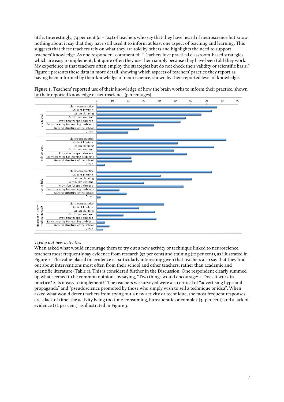little. Interestingly, 74 per cent  $(n = 124)$  of teachers who say that they have heard of neuroscience but know nothing about it say that they have still used it to inform at least one aspect of teaching and learning. This suggests that these teachers rely on what they are told by others and highlights the need to support teachers' knowledge. As one respondent commented: "Teachers love practical classroom-based strategies which are easy to implement, but quite often they use them simply because they have been told they work. My experience is that teachers often employ the strategies but do not check their validity or scientific basis." Figure 1 presents these data in more detail, showing which aspects of teachers' practice they report as having been informed by their knowledge of neuroscience, shown by their reported level of knowledge.



**Figure 1.** Teachers' reported use of their knowledge of how the brain works to inform their practice, shown by their reported knowledge of neuroscience (percentages).

# *Trying out new activities*

When asked what would encourage them to try out a new activity or technique linked to neuroscience, teachers most frequently say evidence from research (52 per cent) and training (12 per cent), as illustrated in Figure 2. The value placed on evidence is particularly interesting given that teachers also say that they find out about interventions most often from their school and other teachers, rather than academic and scientific literature (Table 1). This is considered further in the Discussion. One respondent clearly summed up what seemed to be common opinions by saying, "Two things would encourage: 1. Does it work in practice? 2. Is it easy to implement?" The teachers we surveyed were also critical of "advertising hype and propaganda" and "pseudoscience promoted by those who simply wish to sell a technique or idea". When asked what would deter teachers from trying out a new activity or technique, the most frequent responses are a lack of time, the activity being too time-consuming, bureaucratic or complex (31 per cent) and a lack of evidence (22 per cent), as illustrated in Figure 3.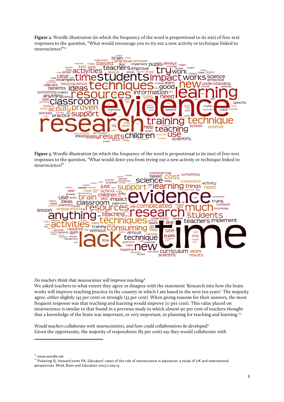**Figure 2.** Wordle illustration (in which the frequency of the word is proportional to its size) of free-text responses to the question, "What would encourage you to try out a new activity or technique linked to neuroscience?"21



**Figure 3.** Wordle illustration (in which the frequency of the word is proportional to its size) of free-text responses to the question, "What would deter you from trying out a new activity or technique linked to neuroscience?"



# *Do teachers think that neuroscience will improve teaching?*

We asked teachers to what extent they agree or disagree with the statement 'Research into how the brain works will improve teaching practice in the country in which I am based in the next ten years'. The majority agree, either slightly (45 per cent) or strongly (33 per cent). When giving reasons for their answers, the most frequent response was that teaching and learning would improve (11 per cent). This value placed on neuroscience is similar to that found in a previous study in which almost 90 per cent of teachers thought that a knowledge of the brain was important, or very important, in planning for teaching and learning.<sup>22</sup>

*Would teachers collaborate with neuroscientists, and how could collaborations be developed?* Given the opportunity, the majority of respondents (85 per cent) say they would collaborate with

<sup>21</sup> www.wordle.net

 

<sup>22</sup> Pickering SJ, Howard-Jones PA. Educators' views of the role of neuroscience in education: a study of UK and international perspectives. Mind, Brain and Education 2007;1:109-13.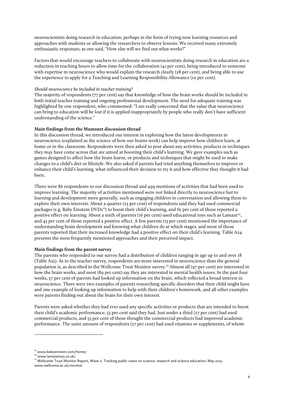neuroscientists doing research in education, perhaps in the form of trying new learning resources and approaches with students or allowing the researchers to observe lessons. We received many extremely enthusiastic responses; as one said, "How else will we find out what works?"

Factors that would encourage teachers to collaborate with neuroscientists doing research in education are a reduction in teaching hours to allow time for the collaboration (41 per cent), being introduced to someone with expertise in neuroscience who would explain the research clearly (28 per cent), and being able to use the experience to apply for a Teaching and Learning Responsibility Allowance (10 per cent).

# *Should neuroscience be included in teacher training?*

The majority of respondents (77 per cent) say that knowledge of how the brain works should be included in both initial teacher training and ongoing professional development. The need for adequate training was highlighted by one respondent, who commented: "I am really concerned that the value that neuroscience can bring to education will be lost if it is applied inappropriately by people who really don't have sufficient understanding of the science."

# **Main findings from the Mumsnet discussion thread**

In this discussion thread, we introduced our interest in exploring how the latest developments in neuroscience (explained as the science of how our brains work) can help improve how children learn, at home or in the classroom. Respondents were then asked to post about any activities, products or techniques they may have come across that are aimed at boosting their child's learning. We gave examples such as games designed to affect how the brain learns, or products and techniques that might be used to make changes to a child's diet or lifestyle. We also asked if parents had tried anything themselves to improve or enhance their child's learning, what influenced their decision to try it and how effective they thought it had been.

There were 86 respondents to our discussion thread and 499 mentions of activities that had been used to improve learning. The majority of activities mentioned were not linked directly to neuroscience but to learning and development more generally, such as engaging children in conversation and allowing them to explore their own interests. About a quarter (23 per cent) of respondents said they had used commercial packages (e.g. Baby Einstein DVDs<sup>23</sup>) to boost their child's learning, and 65 per cent of those reported a positive effect on learning. About a sixth of parents (16 per cent) used educational toys such as Lamaze<sup>24</sup>, and 43 per cent of those reported a positive effect. A few parents (13 per cent) mentioned the importance of understanding brain development and knowing what children do at which stages, and most of those parents reported that their increased knowledge had a positive effect on their child's learning. Table A24 presents the most frequently mentioned approaches and their perceived impact.

## **Main findings from the parent survey**

The parents who responded to our survey had a distribution of children ranging in age up to and over 18 (Table A25). As in the teacher survey, respondents are more interested in neuroscience than the general population is, as described in the Wellcome Trust Monitor survey. <sup>25</sup> Almost all (97 per cent) are interested in how the brain works, and most (89 per cent) say they are interested in mental health issues. In the past four weeks, 57 per cent of parents had looked up information on the brain, which reflected a broad interest in neuroscience. There were two examples of parents researching specific disorders that their child might have and one example of looking up information to help with their children's homework, and all other examples were parents finding out about the brain for their own interest.

Parents were asked whether they had ever used any specific activities or products that are intended to boost their child's academic performance; 53 per cent said they had. Just under a third (27 per cent) had used commercial products, and 53 per cent of those thought the commercial products had improved academic performance. The same amount of respondents (27 per cent) had used vitamins or supplements, of whom

<u> 1989 - Jan Samuel Barbara, político establecido de la provincia de la provincia de la provincia de la provinci</u>

<sup>23</sup> www.babyeinstein.com/home/

<sup>24</sup> www.lamazetoys.co.uk/

<sup>&</sup>lt;sup>25</sup> Wellcome Trust Monitor Report, Wave 2: Tracking public views on science, research and science education, May 2013.

www.wellcome.ac.uk/monitor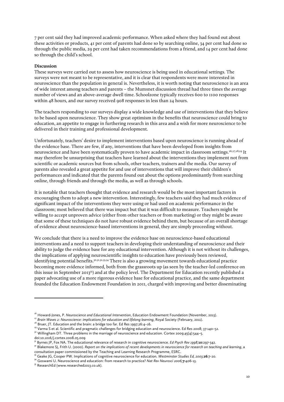7 per cent said they had improved academic performance. When asked where they had found out about these activities or products, 41 per cent of parents had done so by searching online, 34 per cent had done so through the public media, 29 per cent had taken recommendations from a friend, and 14 per cent had done so through the child's school.

# **Discussion**

These surveys were carried out to assess how neuroscience is being used in educational settings. The surveys were not meant to be representative, and it is clear that respondents were more interested in neuroscience than the population in general is. Nevertheless, it is worth noting that neuroscience is an area of wide interest among teachers and parents – the Mumsnet discussion thread had three times the average number of views and an above-average dwell time. Schoolzone typically receives 600 to 1100 responses within 48 hours, and our survey received 908 responses in less than 24 hours.

The teachers responding to our surveys display a wide knowledge and use of interventions that they believe to be based upon neuroscience. They show great optimism in the benefits that neuroscience could bring to education, an appetite to engage in furthering research in this area and a wish for more neuroscience to be delivered in their training and professional development.

Unfortunately, teachers' desire to implement interventions based upon neuroscience is running ahead of the evidence base. There are few, if any, interventions that have been developed from insights from neuroscience and have been systematically proven to have academic impact in classroom settings. 26,27,28,29 It may therefore be unsurprising that teachers have learned about the interventions they implement not from scientific or academic sources but from schools, other teachers, trainers and the media. Our survey of parents also revealed a great appetite for and use of interventions that will improve their children's performances and indicated that the parents found out about the options predominantly from searching online, through friends and through the media, as well as through schools.

It is notable that teachers thought that evidence and research would be the most important factors in encouraging them to adopt a new intervention. Interestingly, few teachers said they had much evidence of significant impact of the interventions they were using or had used on academic performance in the classroom; most believed that there was impact but that it was difficult to measure. Teachers might be willing to accept unproven advice (either from other teachers or from marketing) or they might be aware that some of these techniques do not have robust evidence behind them, but because of an overall shortage of evidence about neuroscience-based interventions in general, they are simply proceeding without.

We conclude that there is a need to improve the evidence base on neuroscience-based educational interventions and a need to support teachers in developing their understanding of neuroscience and their ability to judge the evidence base for any educational intervention. Although it is not without its challenges, the implications of applying neuroscientific insights to education have previously been reviewed, identifying potential benefits.<sup>30,31,32,33,34</sup> There is also a growing movement towards educational practice becoming more evidence informed, both from the grassroots up (as seen by the teacher-led conference on this issue in September 2013<sup>35</sup>) and at the policy level. The Department for Education recently published a paper advocating use of a more rigorous evidence base for educational practice, and the same department founded the Education Endowment Foundation in 2011, charged with improving and better disseminating

<u> 1989 - Jan Samuel Barbara, político establecido de la provincia de la provincia de la provincia de la provinci</u>

<sup>&</sup>lt;sup>26</sup> Howard-Jones, P. Neuroscience and Educational Intervention, Education Endowment Foundation (November, 2013).

<sup>&</sup>lt;sup>27</sup> Brain Waves 2: Neuroscience: implications for education and lifelong learning, Royal Society (February, 2011).

<sup>&</sup>lt;sup>28</sup> Bruer, JT. Education and the brain: a bridge too far. Ed Res 1997;26:4-16.

<sup>&</sup>lt;sup>29</sup> Varma S et al. Scientific and pragmatic challenges for bridging education and neuroscience. Ed Res 2008; 37:140-52.

<sup>&</sup>lt;sup>30</sup> Willingham DT. Three problems in the marriage of neuroscience and education. Cortex 2009;45(4):544-5. doi:10.1016/j.cortex.2008.05.009

<sup>31</sup> Byrnes JP, Fox NA. The educational relevance of research in cognitive neuroscience. *Ed Psych Rev 1998;***10:**297-342.

<sup>&</sup>lt;sup>32</sup> Blakemore SJ, Frith U. (2000). *Report on the implications of recent developments in neuroscience for research on teaching and learning, a* consultation paper commissioned by the Teaching and Learning Research Programme, ESRC. <sup>33</sup> Geake JG, Cooper PW. Implications of cognitive neuroscience for education. *Westminster Studies Ed, 2003;***26:**7-20.

<sup>34</sup> Goswami U. Neuroscience and education: from research to practice? *Nat Rev Neurosci 2006;***7:**406-13.

<sup>&</sup>lt;sup>35</sup> ResearchEd (www.researched2013.co.uk).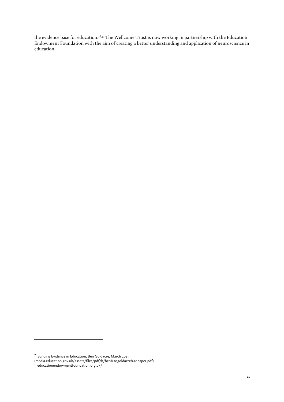the evidence base for education.<sup>36,37</sup> The Wellcome Trust is now working in partnership with the Education Endowment Foundation with the aim of creating a better understanding and application of neuroscience in education.

 

 $^{36}$  Building Evidence in Education, Ben Goldacre, March 2013

<sup>(</sup>media.education.gov.uk/assets/files/pdf/b/ben%20goldacre%20paper.pdf).<br><sup>37</sup> educationendowmentfoundation.org.uk/